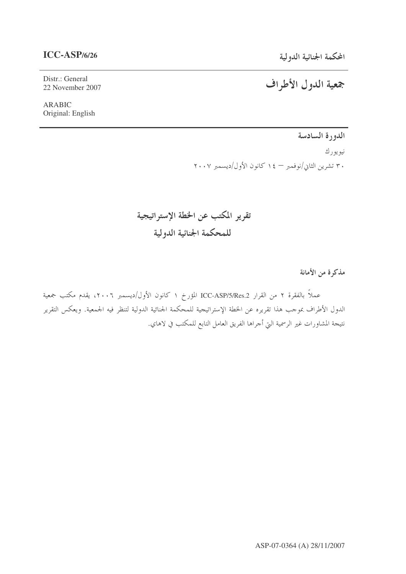# المحكمة الجنائية الدولية

# **ICC-ASP/6/26**

#### Distr.: General 22 November 2007

ARABIC Original: English

# جمعية الدول الأطراف

الدورة السادسة

نيويورك ٣٠ تشرين الثاني/نوفمبر — ١٤ كانون الأول/ديسمبر ٢٠٠٧

تقرير المكتب عن الخطة الإستراتيجية للمحكمة الجنائية الدولية

مذكرة من الأمانة

عملاً بالفقرة ٢ من القرار ICC-ASP/5/Res.2 المؤرخ ١ كانون الأول/ديسمبر ٢٠٠٦، يقدم مكتب جمعية الدول الأطراف بموجب هذا تقريره عن الخطة الإستراتيجية للمحكمة الجنائية الدولية لتنظر فيه الجمعية. ويعكس التقرير نتيجة المشاورات غير الرسمية التي أحراها الفريق العامل التابع للمكتب في لاهاي.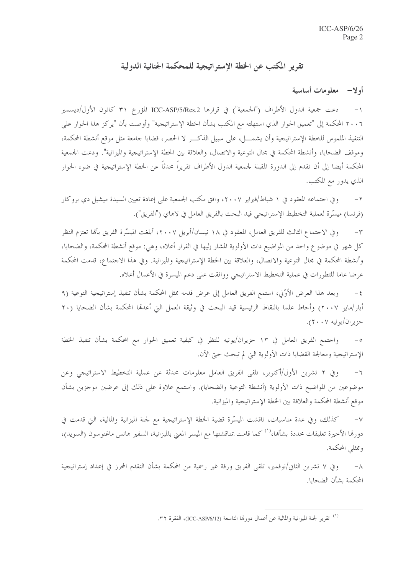# تقرير المكتب عن الخطة الإستراتيجية للمحكمة الجنائية الدولية

## أو لا— معلومات أساسية

دعت جمعية الدول الأطراف ("الجمعية") في قرارها ICC-ASP/5/Res.2 المؤرخ ٣١ كانون الأول/ديسمبر  $-1$ ٢٠٠٦ المحكمة إلى "تعميق الحوار الذي استهلته مع المكتب بشأن الخطة الإستراتيجية" وأوصت بأن "يركز هذا الحوار على التنفيذ الملموس للخطة الإستراتيجية وأن يشمـــل، على سبيل الذكـــر لا الحصر، قضايا جامعة مثل موقع أنشطة المحكمة، وموقف الضحايا، وأنشطة المحكمة في مجال التوعية والاتصال، والعلاقة بين الخطة الإستراتيجية والميزانية". ودعت الجمعية المحكمة أيضا إلى أن تقدم إلى الدورة المقبلة لجمعية الدول الأطراف تقريراً محدثاً عن الخطة الإستراتيجية في ضوء الحوار الذي يدور مع المكتب.

وفي اجتماعه المعقود في ١ شباط/فبراير ٢٠٠٧، وافق مكتب الجمعية على إعادة تعيين السيدة ميشيل دي بروكار  $-7$ (فرنسا) ميسَّرة لعملية التخطيط الإستراتيجي قيد البحث بالفريق العامل في لاهاي ("الفريق").

وفي الاجتماع الثالث للفريق العامل، المعقود في ١٨ نيسان/أبريل ٢٠٠٧، أبلغت الميسَّرة الفريق بألها تعتزم النظر  $-1$ كل شهر في موضوع واحد من المواضيع ذات الأولوية المشار إليها في القرار أعلاه، وهي: موقع أنشطة المحكمة، والضحايا، وأنشطة المحكمة في محال التوعية والاتصال، والعلاقة بين الخطة الإستراتيجية والميزانية. وفي هذا الاحتماع، قدمت المحكمة عرضا عاما للتطورات في عملية التخطيط الاستراتيجي ووافقت على دعم الميسرة في الأعمال أعلاه.

وبعد هذا العرض الأوَّلي، استمع الفريق العامل إلى عرض قدمه ممثل المحكمة بشأن تنفيذ إستراتيجية التوعية (٩  $-\xi$ أيار/مايو ٢٠٠٧) وأحاط علما بالنقاط الرئيسية قيد البحث في وثيقة العمل التي أعدقما المحكمة بشأن الضحايا (٢٠ حزيران/يونيه ٢٠٠٧).

واجتمع الفريق العامل في ١٣ حزيران/يونيه للنظر في كيفية تعميق الحوار مع المحكمة بشأن تنفيذ الخطة الإستراتيجية ومعالجة القضايا ذات الأولوية التي لم تبحث حتى الآن.

وفي ٢ تشرين الأول/أكتوبر، تلقى الفريق العامل معلومات محدثة عن عملية التخطيط الاستراتيجي وعن  $-7$ موضوعين من المواضيع ذات الأولوية (أنشطة التوعية والضحايا). واستمع علاوة على ذلك إلى عرضين موجزين بشأن موقع أنشطة المحكمة والعلاقة بين الخطة الإستراتيجية والميزانية.

كذلك، وفي عدة مناسبات، ناقشت الميسَّرة قضية الخطة الإستراتيجية مع لجنة الميزانية والمالية، التي قدمت في  $-\vee$ دورقما الأخيرة تعليقات محددة بشأنها،<sup>(١)</sup> كما قامت بمناقشتها مع الميسر المعني بالميزانية، السفير هانس ماغنوسون (السويد)، وممثلي المحكمة.

وفي ٧ تشرين الثاني/نوفمبر، تلقى الفريق ورقة غير رسمية من المحكمة بشأن التقدم المحرز في إعداد إستراتيجية  $-\lambda$ المحكمة بشأن الضحايا.

<sup>&</sup>lt;sup>(١)</sup> تقرير لجنة الميزانية والمالية عن أعمال دورهّا التاسعة (ICC-ASP/6/12)، الفقرة ٣٢.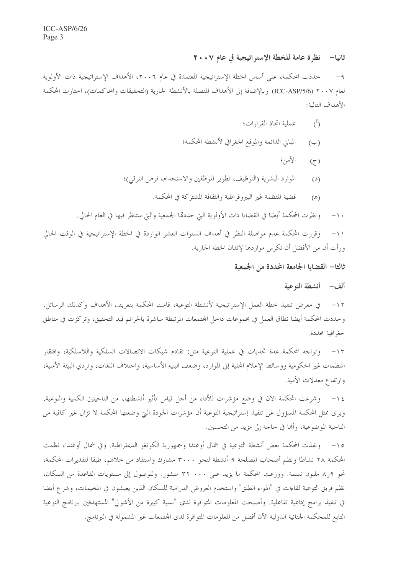# ثانيا— نظرة عامة للخطة الإستر اتيجية في عام ٢٠٠٧

حددت المحكمة، على أساس الخطة الإستراتيجية المعتمدة في عام ٢٠٠٦، الأهداف الإستراتيجية ذات الأولوية  $-9$ لعام ٢٠٠٧ (ICC-ASP/5/6). وبالإضافة إلى الأهداف المتصلة بالأنشطة الجارية (التحقيقات والمحاكمات)، احتارت المحكمة الأهداف التالية:

- عملية اتخاذ القرارات؛  $\langle \hat{D} \rangle$
- المباني الدائمة والموقع الجغرافي لأنشطة المحكمة؛  $(\hookrightarrow)$ 
	- الأمن؛  $(5)$
- الموارد البشرية (التوظيف، تطوير الموظفين والاستخدام، فرص الترقي)؛  $\mathbf{C}^{(2)}$ 
	- قضية المنظمة غير البيروقراطية والثقافة المشتركة في المحكمة.  $(\mathbb{A})$

ونظرت المحكمة أيضا في القضايا ذات الأولوية التي حددها الجمعية والتي ستنظر فيها في العام الحالي.  $-1$ .

وقررت المحكمة عدم مواصلة النظر في أهداف السنوات العشر الواردة في الخطة الإستراتيجية في الوقت الحالي  $-11$ ورأت أن من الأفضل أن تكرس مواردها لإتقان الخطة الجارية.

ثالثا— القضايا الجامعة المحددة من الجمعية

### ألف – أنشطة التوعية

في معرض تنفيذ خطة العمل الإستراتيجية لأنشطة التوعية، قامت المحكمة بتعريف الأهداف وكذلك الرسائل.  $-11$ وحددت المحكمة أيضا نطاق العمل في مجموعات داخل المجتمعات المرتبطة مباشرة بالجرائم قيد التحقيق، وتركزت في مناطق جغرافية محددة.

١٣– وتواجه المحكمة عدة تحديات في عملية التوعية مثل: تقادم شبكات الاتصالات السلكية واللاسلكية، وافتقار المنظمات غير الحكومية ووسائط الإعلام المحلية إلى الموارد، وضعف البنية الأساسية، واختلاف اللغات، وتردي البيئة الأمنية، وارتفاع معدلات الأمية.

١٤ – وشرعت المحكمة الآن في وضع مؤشرات للأداء من أجل قياس تأثير أنشطتها، من الناحيتين الكمية والنوعية. ويرى ممثل المحكمة المسؤول عن تنفيذ إستراتيجية التوعية أن مؤشرات الجودة التي وضعتها المحكمة لا تزال غير كافية من الناحية الموضوعية، وألها في حاجة إلى مزيد من التحسين.

١٥– ونفذت المحكمة بعض أنشطة التوعية في شمال أوغندا وجمهورية الكونغو الديمقراطية. وفي شمال أوغندا، نظمت المحكمة ٢٨ نشاطا ونظم أصحاب المصلحة ٩ أنشطة لنحو ٣٠٠٠ مشارك واستفاد من حلالهم، طبقا لتقديرات المحكمة، نحو ٨٫٩ مليون نسمة. ووزعت المحكمة ما يزيد على ٣٢ ٠٠٠ منشور. وللوصول إلى مستويات القاعدة من السكان، نظم فريق التوعية لقاءات في "الهواء الطلق" واستخدم العروض الدرامية للسكان الذين يعيشون في المخيمات، وشرع أيضا في تنفيذ برامج إذاعية تفاعلية. وأصبحت المعلومات المتوافرة لدى "نسبة كبيرة من الأشولي" المستهدفين ببرنامج التوعية التابع للمحكمة الجنائية الدولية الآن أفضل من المعلومات المتوافرة لدى المحتمعات غير المشمولة في البرنامج.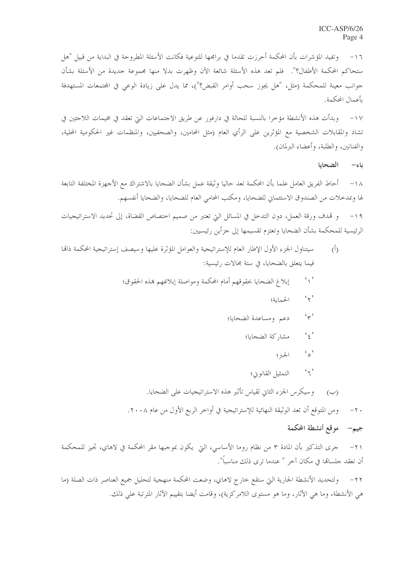وتفيد المؤشرات بأن المحكمة أحرزت تقدما في برامجها للتوعية فكانت الأسئلة المطروحة في البداية من قبيل "هل  $-17$ ستحاكم المحكمة الأطفال؟". فلم تعد هذه الأسئلة شائعة الآن وظهرت بدلا منها مجموعة جديدة من الأسئلة بشأن جوانب معينة للمحكمة (مثل، "هل يجوز سحب أوامر القبض؟")، مما يدل على زيادة الوعي في المحتمعات المستهدفة بأعمال المحكمة.

١٧- وبدأت هذه الأنشطة مؤخرا بالنسبة للحالة في دارفور عن طريق الاحتماعات التي تعقد في مخيمات اللاحئين في تشاد والمقابلات الشخصية مع المؤثرين على الرأي العام (مثل المحامين، والصحفيين، والمنظمات غير الحكومية المحلية، والفنانين، والطلبة، وأعضاء البرلمان).

#### الضحايا ياء—

أحاط الفريق العامل علما بأن المحكمة تعد حاليا وثيقة عمل بشأن الضحايا بالاشتراك مع الأجهزة المختلفة التابعة  $-\wedge$ لها وبمدخلات من الصندوق الاستئماني للضحايا، ومكتب المحامي العام للضحايا، والضحايا أنفسهم.

و قمدف ورقة العمل، دون التدحل في المسائل التي تعتبر من صميم احتصاص القضاة، إلى تحديد الاستراتيجيات  $-19$ الرئيسية للمحكمة بشأن الضحايا وتعتزم تقسيمها إلى جزأين رئيسيين:

- سيتناول الجزء الأول الإطار العام للإستراتيجية والعوامل المؤثرة عليها وسيصف إستراتيجية المحكمة ذاتما  $\overline{(\overline{0})}$ فيما يتعلق بالضحايا، في ستة محالات رئيسية:
	- $\left\langle \cdot \right\rangle$ إبلاغ الضحايا بحقوقهم أمام المحكمة ومواصلة إبلاغهم بمذه الحقوق؛
		- $\mathfrak{c}_{\gamma}$ الحماية؛
		- $\gamma$ دعم ومساعدة الضحايا؛
			- $\mathfrak{c}_{\xi}$ , مشاركة الضحايا؛
				- $\mathcal{L}_{\circ}$ , الجبهر ؟
				- $\mathfrak{c}_{\mathfrak{q}}$ التمثيل القانوين؛
		- وسيكرس الجزء الثاني لقياس تأثير هذه الاستراتيجيات على الضحايا.  $(\cup)$
		- ومن المتوقع أن تعد الوثيقة النهائية للإستراتيجية في أواخر الربع الأول من عام ٢٠٠٨.  $-7.$

# جيم– موقع أنشطة المحكمة

جرى التذكير بأن المادة ٣ من نظام روما الأساسي، التي يكون بموجبها مقر المحكمة في لاهاي، تجيز للمحكمة  $-\tau$ أن تعقد حلسالها في مكان آخر " عندما ترى ذلك مناسباً".

ولتحديد الأنشطة الجارية التي ستقع خارج لاهاي، وضعت المحكمة منهجية لتحليل جميع العناصر ذات الصلة (ما  $-77$ هي الأنشطة، وما هي الآثار، وما هو مستوى اللامركزية)، وقامت أيضا بتقييم الآثار المترتبة على ذلك.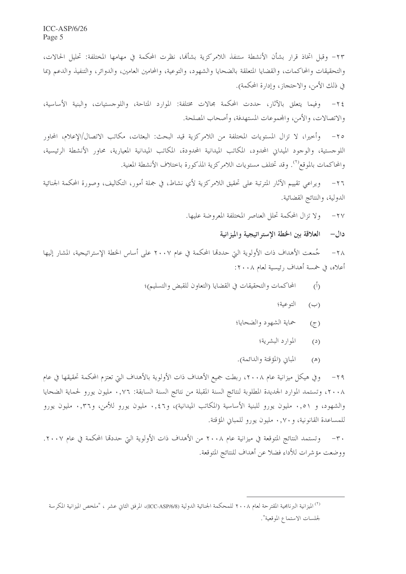٢٣- وقبل اتخاذ قرار بشأن الأنشطة ستنفذ اللامركزية بشألها، نظرت المحكمة في مهامها المختلفة: تحليل الحالات، والتحقيقات والمحاكمات، والقضايا المتعلقة بالضحايا والشهود، والتوعية، والمحامين العامين، والدوائر، والتنفيذ والدعم (بما في ذلك الأمن، والاحتجاز، وإدارة المحكمة).

٢٤– وفيما يتعلق بالآثار، حددت المحكمة مجالات مختلفة: الموارد المتاحة، واللو حستيات، والبنية الأساسية، والاتصالات، والأمن، والجموعات المستهدفة، وأصحاب المصلحة.

٢٥– وأحيرا، لا تزال المستويات المختلفة من اللامركزية قيد البحث: البعثات، مكاتب الاتصال/الإعلام، المحاور اللوجستية، والوجود الميداني المحدود، المكاتب الميدانية المحدودة، المكاتب الميدانية المعيارية، محاور الأنشطة الرئيسية، والمحاكمات بالموقع'''. وقد تختلف مستويات اللامركزية المذكورة باختلاف الأنشطة المعنية.

ويراعي تقييم الآثار المترتبة على تحقيق اللامركزية لأي نشاط، في جملة أمور، التكاليف، وصورة المحكمة الجنائية  $-77$ الدولية، والنتائج القضائية.

٢٧- ولا تزال المحكمة تحلل العناصر المختلفة المعروضة عليها.

#### دال— العلاقة بين الخطة الإستراتيجية والميزانية

جُمعت الأهداف ذات الأولوية التي حددقما المحكمة في عام ٢٠٠٧ على أساس الخطة الإستراتيجية، المشار إليها  $-\tau \wedge$ أعلاه، في خمسة أهداف رئيسية لعام ٢٠٠٨:

- المحاكمات والتحقيقات في القضايا (التعاون للقبض والتسليم)؛  $(\mathring{0})$ 
	- التوعية؛  $(\hookrightarrow)$
	- حماية الشهود والضحايا؛  $(\tau)$ 
		- الموارد البشرية؛  $(2)$
	- المباني (المؤقتة والدائمة).  $(\mathbb{A})$

وفي هيكل ميزانية عام ٢٠٠٨، ربطت جميع الأهداف ذات الأولوية بالأهداف التي تعتزم المحكمة تحقيقها في عام  $-\gamma$ q ٢٠٠٨، وتستمد الموارد الجديدة المطلوبة لنتائج السنة المقبلة من نتائج السنة السابقة: ٧٦, • مليون يورو لحماية الضحايا والشهود، و ٠,٥١ مليون يورو للبنية الأساسية (المكاتب الميدانية)، و٤٦,٠ مليون يورو للأمن، و٣٦,٠ مليون يورو للمساعدة القانونية، و ٠,٧٠ مليون يورو للمباني المؤقتة.

٣٠— وتستمد النتائج المتوقعة في ميزانية عام ٢٠٠٨ من الأهداف ذات الأولوية التي حددقما المحكمة في عام ٢٠٠٧. ووضعت مؤشرات للأداء فضلا عن أهداف للنتائج المتوقعة.

<sup>&</sup>lt;sup>(٢)</sup> الميزانية البرنامجية المقترحة لعام ٢٠٠٨ للمحكمة الجنائية الدولية (ICC-ASP/6/8)، المرفق الثاني عشر ، "ملخص الميزانية المكرسة لجلسات الاستماع الموقعية".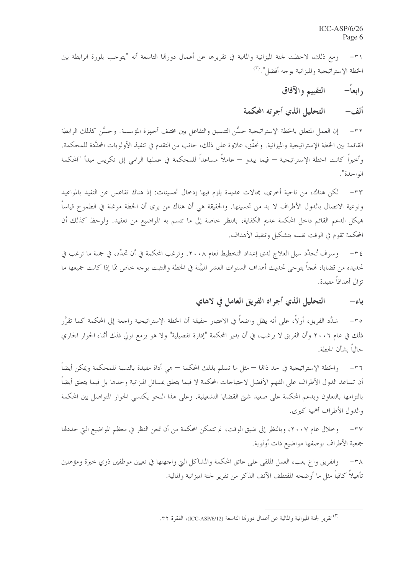ومع ذلك، لاحظت لجنة الميزانية والمالية في تقريرها عن أعمال دورها التاسعة أنه "يتوجب بلورة الرابطة بين  $-\tau$ الخطة الإستراتيجية والميزانية بوجه أفضل". <sup>(٣)</sup>

> التقييم والآفاق ر ابعاً—

التحليل الذي أجرته المحكمة ألف—

إن العمل المتعلق بالخطة الإستراتيجية حسَّن التنسيق والتفاعل بين مختلف أجهزة المؤسسة. وحسَّن كذلك الرابطة  $-\tau\tau$ القائمة بين الخطة الإستراتيجية والميزانية. وتحقَّق، علاوة على ذلك، جانب من التقدم في تنفيذ الأولويات المحدكمة. وأخيراً كانت الحظة الإستراتيجية — فيما يبدو — عاملاً مساعداً للمحكمة في عملها الرامي إلى تكريس مبدأ "المحكمة الواحدة".

لكن هناك، من ناحية أخرى، مجالات عديدة يلزم فيها إدخال تحسينات: إذ هناك تقاعس عن التقيد بالمواعيد  $-\tau$ ونوعية الاتصال بالدول الأطراف لا بد من تحسينها. والحقيقة هي أن هناك من يرى أن الخطة موغلة في الطموح قياساً هيكل الدعم القائم داخل المحكمة عديم الكفاية، بالنظر خاصة إلى ما تتسم به المواضيع من تعقيد. ولوحظ كذلك أن المحكمة تقوم في الوقت نفسه بتشكيل وتنفيذ الأهداف.

٣٤- وسوف تُحدَّد سبل العلاج لدى إعداد التخطيط لعام ٢٠٠٨. وترغب المحكمة في أن تحدِّد، في جملة ما ترغب في تحديده من قضايا، فمجاً يتوخى تحديث أهداف السنوات العشر المبيَّنة في الخطة والتثبت بوجه خاص ممّا إذا كانت جميعها ما تزال أهدافاً مفيدة.

> التحليل الذي أجراه الفريق العامل في لاهاي ياء—

شدَّد الفريق، أولاً، على أنه يظل واضعاً في الاعتبار حقيقة أن الخطة الإستراتيجية راجعة إلى المحكمة كما تقرَّر  $-\mathbf{r}\circ$ ذلك في عام ٢٠٠٦ وأن الفريق لا يرغب، في أن يدير المحكمة "إدارة تفصيلية" ولا هو يزمع تولى ذلك أثناء الحوار الجاري حالياً يشأن الخطة.

٣٦– والخطة الإستراتيجية في حد ذاهما — مثل ما تسلم بذلك المحكمة — هي أداة مفيدة بالنسبة للمحكمة ويمكن أيضاً أن تساعد الدول الأطراف على الفهم الأفضل لاحتياجات المحكمة لا فيما يتعلق بمسائل الميزانية وحدها بل فيما يتعلق أيضاً بالتزامها بالتعاون وبدعم المحكمة على صعيد شتى القضايا التشغيلية. وعلى هذا النحو يكتسى الحوار المتواصل بين المحكمة والدول الأطراف أهمية كبرى.

٣٧ – وخلال عام ٢٠٠٧، وبالنظر إلى ضيق الوقت، لم تتمكن المحكمة من أن تمعن النظر في معظم المواضيع التي حددقما جمعية الأطراف بوصفها مواضيع ذات أولوية.

والفريق واع بعبء العمل الملقى على عاتق المحكمة والمشاكل التي واجهتها في تعيين موظفين ذوي حبرة ومؤهلين  $-\tau \wedge$ تأهيلاً كافياً مثل ما أوضحه المقتطف الآنف الذكر من تقرير لجنة الميزانية والمالية.

<sup>(</sup>٣) تقرير لجنة الميزانية والمالية عن أعمال دورها التاسعة (ICC-ASP/6/12)، الفقرة ٣٢.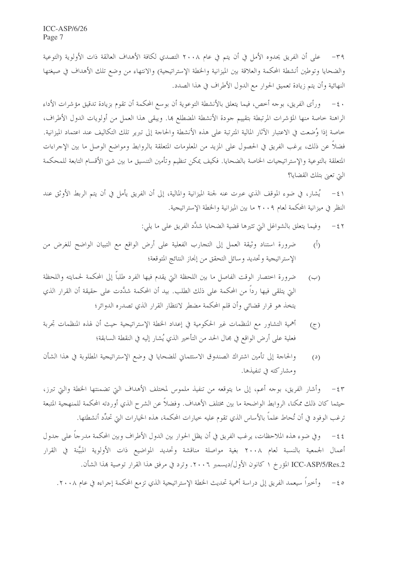على أن الفريق يحدوه الأمل في أن يتم في عام ٢٠٠٨ التصدي لكافة الأهداف العالقة ذات الأولوية (التوعية  $-\mathbf{r}$ والضحايا وتوطين أنشطة المحكمة والعلاقة بين الميزانية والخطة الإستراتيجية) والانتهاء من وضع تلك الأهداف في صيغتها النهائية وأن يتم زيادة تعميق الحوار مع الدول الأطراف في هذا الصدد.

ورأى الفريق، بوجه أحص، فيما يتعلق بالأنشطة التوعوية أن بوسع المحكمة أن تقوم بزيادة تدقيق مؤشرات الأداء  $-\epsilon$ . الراهنة خاصة منها المؤشرات المرتبطة بتقييم جودة الأنشطة المضطلع ها. ويبقى هذا العمل من أولويات الدول الأطراف، خاصة إذا وُضعت في الاعتبار الآثار المالية المترتبة على هذه الأنشطة والحاجة إلى تبرير تلك التكاليف عند اعتماد الميزانية. فضلاً عن ذلك، يرغب الفريق في الحصول على المزيد من المعلومات المتعلقة بالروابط ومواضع الوصل ما بين الإجراءات المتعلقة بالتوعية والإستراتيجيات الخاصة بالضحايا. فكيف يمكن تنظيم وتأمين التنسيق ما بين شتى الأقسام التابعة للمحكمة التي تعبي بتلك القضايا؟

٤١ – يُشار، في ضوء الموقف الذي عبرت عنه لجنة الميزانية والمالية، إلى أن الفريق يأمل في أن يتم الربط الأوثق عند النظر في ميزانية المحكمة لعام ٢٠٠٩ ما بين الميزانية والخطة الإستراتيجية.

> وفيما يتعلق بالشواغل التي تثيرها قضية الضحايا شدَّد الفريق على ما يلي:  $-\xi$   $\zeta$

- ضرورة استناد وثيقة العمل إلى التجارب الفعلية على أرض الواقع مع التبيان الواضح للغرض من  $\langle \hat{O} \rangle$ الإستراتيجية وتحديد وسائل التحقق من إنحاز النتائج المتوقعة؛
- ضرورة اختصار الوقت الفاصل ما بين اللحظة التي يقدم فيها الفرد طلباً إلى المحكمة لحمايته واللحظة  $(\hookrightarrow)$ التي يتلقى فيها رداً من المحكمة على ذلك الطلب. بيد أن المحكمة شدَّدت على حقيقة أن القرار الذي يتخذ هو قرار قضائي وأن قلم المحكمة مضطر لانتظار القرار الذي تصدره الدوائر؛
- أهمية التشاور مع المنظمات غير الحكومية في إعداد الخطة الإستراتيجية حيث أن لهذه المنظمات تجربة  $(5)$ فعلية على أرض الواقع في مجال الحد من التأخير الذي يُشار إليه في النقطة السابقة؛
- والحاحة إلى تأمين اشتراك الصندوق الاستئماني للضحايا في وضع الإستراتيجية المطلوبة في هذا الشأن  $(2)$ ومشاركته في تنفيذها.

وأشار الفريق، بوجه أعم، إلى ما يتوقعه من تنفيذ ملموس لمختلف الأهداف التي تضمنتها الخطة والتي تبرز،  $-\xi$ ٣ حيثما كان ذلك ممكنا، الروابط الواضحة ما بين مختلف الأهداف. وفضلاً عن الشرح الذي أوردته المحكمة للمنهجية المتبعة ترغب الوفود في أن تُحاط علماً بالأساس الذي تقوم عليه خيارات المحكمة، هذه الخيارات التي تحدِّد أنشطتها.

وفي ضوء هذه الملاحظات، يرغب الفريق في أن يظل الحوار بين الدول الأطراف وبين المحكمة مدرجاً على جدول  $-\xi$  { أعمال الجمعية بالنسبة لعام ٢٠٠٨ بغية مواصلة مناقشة وتحديد المواضيع ذات الأولوية المبيَّنة في القرار ICC-ASP/5/Res.2 المؤرخ ١ كانون الأول/ديسمبر ٢٠٠٦. وترد في مرفق هذا القرار توصية بهذا الشأن.

وأخيراً سيعمد الفريق إلى دراسة أهمية تحديث الحطة الإستراتيجية الذي تزمع المحكمة إجراءه في عام ٢٠٠٨.  $-\xi$